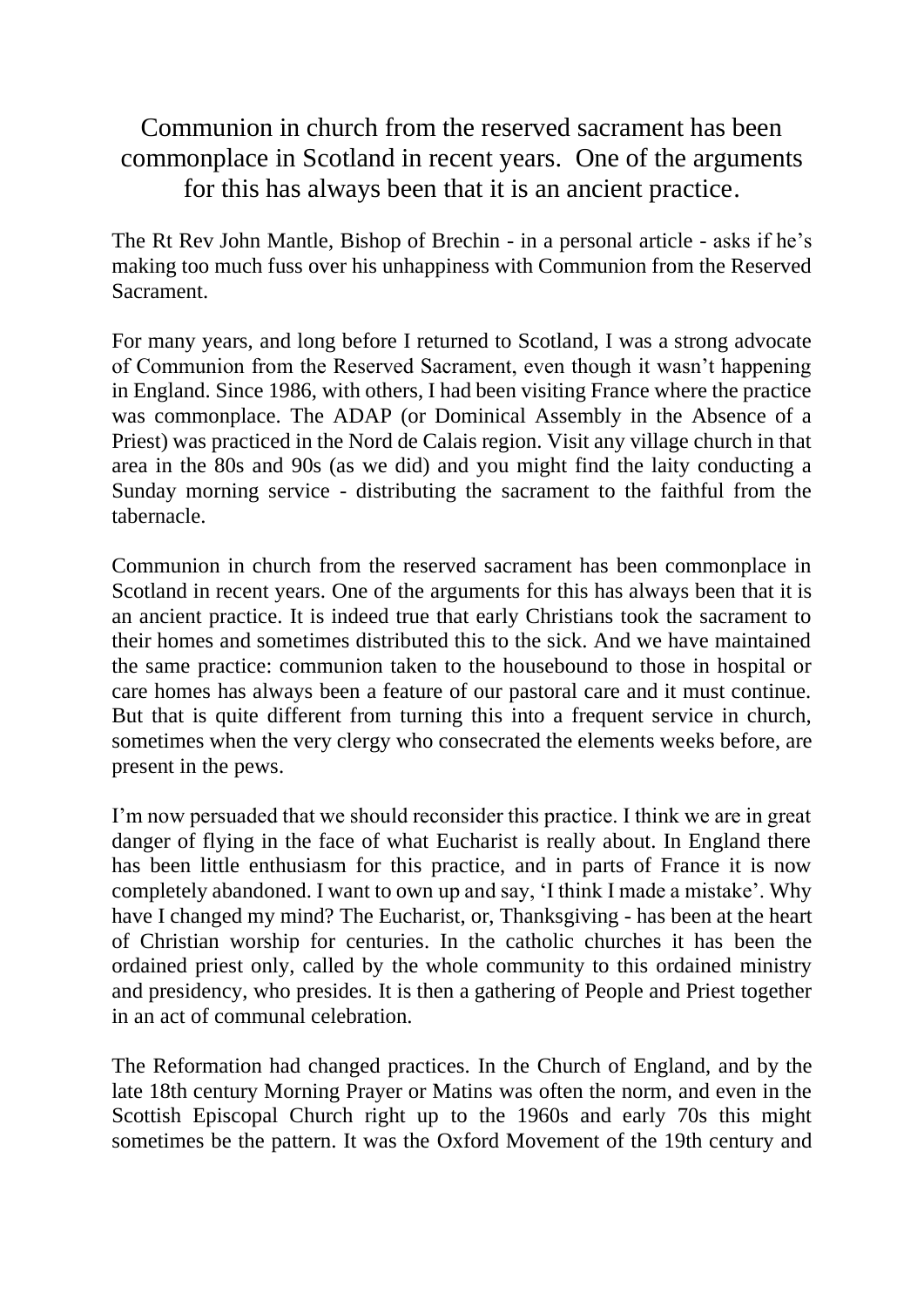Communion in church from the reserved sacrament has been commonplace in Scotland in recent years. One of the arguments for this has always been that it is an ancient practice.

The Rt Rev John Mantle, Bishop of Brechin - in a personal article - asks if he's making too much fuss over his unhappiness with Communion from the Reserved Sacrament.

For many years, and long before I returned to Scotland, I was a strong advocate of Communion from the Reserved Sacrament, even though it wasn't happening in England. Since 1986, with others, I had been visiting France where the practice was commonplace. The ADAP (or Dominical Assembly in the Absence of a Priest) was practiced in the Nord de Calais region. Visit any village church in that area in the 80s and 90s (as we did) and you might find the laity conducting a Sunday morning service - distributing the sacrament to the faithful from the tabernacle.

Communion in church from the reserved sacrament has been commonplace in Scotland in recent years. One of the arguments for this has always been that it is an ancient practice. It is indeed true that early Christians took the sacrament to their homes and sometimes distributed this to the sick. And we have maintained the same practice: communion taken to the housebound to those in hospital or care homes has always been a feature of our pastoral care and it must continue. But that is quite different from turning this into a frequent service in church, sometimes when the very clergy who consecrated the elements weeks before, are present in the pews.

I'm now persuaded that we should reconsider this practice. I think we are in great danger of flying in the face of what Eucharist is really about. In England there has been little enthusiasm for this practice, and in parts of France it is now completely abandoned. I want to own up and say, 'I think I made a mistake'. Why have I changed my mind? The Eucharist, or, Thanksgiving - has been at the heart of Christian worship for centuries. In the catholic churches it has been the ordained priest only, called by the whole community to this ordained ministry and presidency, who presides. It is then a gathering of People and Priest together in an act of communal celebration.

The Reformation had changed practices. In the Church of England, and by the late 18th century Morning Prayer or Matins was often the norm, and even in the Scottish Episcopal Church right up to the 1960s and early 70s this might sometimes be the pattern. It was the Oxford Movement of the 19th century and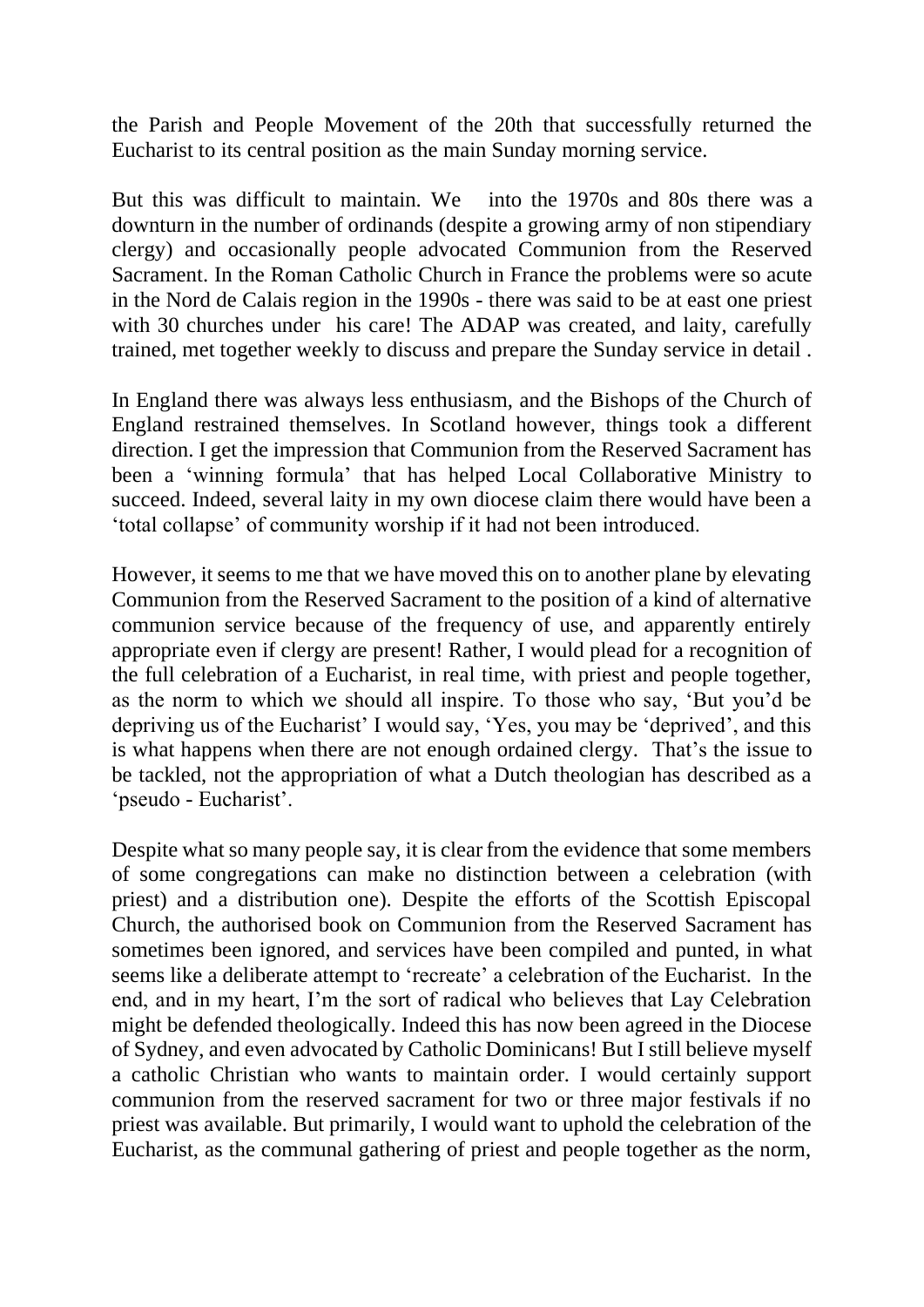the Parish and People Movement of the 20th that successfully returned the Eucharist to its central position as the main Sunday morning service.

But this was difficult to maintain. We into the 1970s and 80s there was a downturn in the number of ordinands (despite a growing army of non stipendiary clergy) and occasionally people advocated Communion from the Reserved Sacrament. In the Roman Catholic Church in France the problems were so acute in the Nord de Calais region in the 1990s - there was said to be at east one priest with 30 churches under his care! The ADAP was created, and laity, carefully trained, met together weekly to discuss and prepare the Sunday service in detail .

In England there was always less enthusiasm, and the Bishops of the Church of England restrained themselves. In Scotland however, things took a different direction. I get the impression that Communion from the Reserved Sacrament has been a 'winning formula' that has helped Local Collaborative Ministry to succeed. Indeed, several laity in my own diocese claim there would have been a 'total collapse' of community worship if it had not been introduced.

However, it seems to me that we have moved this on to another plane by elevating Communion from the Reserved Sacrament to the position of a kind of alternative communion service because of the frequency of use, and apparently entirely appropriate even if clergy are present! Rather, I would plead for a recognition of the full celebration of a Eucharist, in real time, with priest and people together, as the norm to which we should all inspire. To those who say, 'But you'd be depriving us of the Eucharist' I would say, 'Yes, you may be 'deprived', and this is what happens when there are not enough ordained clergy. That's the issue to be tackled, not the appropriation of what a Dutch theologian has described as a 'pseudo - Eucharist'.

Despite what so many people say, it is clear from the evidence that some members of some congregations can make no distinction between a celebration (with priest) and a distribution one). Despite the efforts of the Scottish Episcopal Church, the authorised book on Communion from the Reserved Sacrament has sometimes been ignored, and services have been compiled and punted, in what seems like a deliberate attempt to 'recreate' a celebration of the Eucharist. In the end, and in my heart, I'm the sort of radical who believes that Lay Celebration might be defended theologically. Indeed this has now been agreed in the Diocese of Sydney, and even advocated by Catholic Dominicans! But I still believe myself a catholic Christian who wants to maintain order. I would certainly support communion from the reserved sacrament for two or three major festivals if no priest was available. But primarily, I would want to uphold the celebration of the Eucharist, as the communal gathering of priest and people together as the norm,